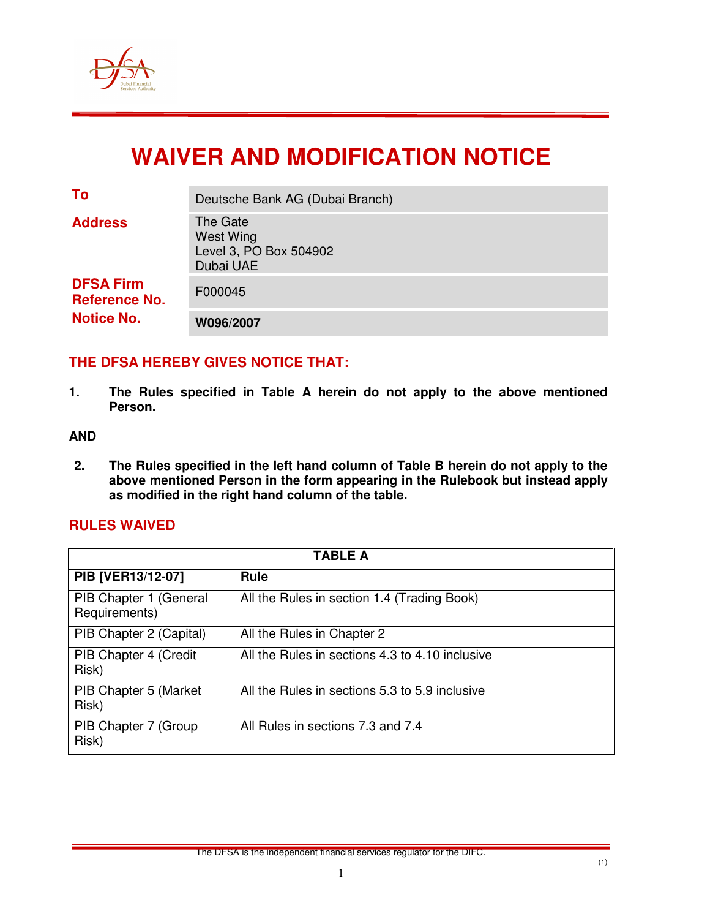

# **WAIVER AND MODIFICATION NOTICE**

| To                                                            | Deutsche Bank AG (Dubai Branch)                              |
|---------------------------------------------------------------|--------------------------------------------------------------|
| <b>Address</b>                                                | The Gate<br>West Wing<br>Level 3, PO Box 504902<br>Dubai UAE |
| <b>DFSA Firm</b><br><b>Reference No.</b><br><b>Notice No.</b> | F000045                                                      |
|                                                               | W096/2007                                                    |

# **THE DFSA HEREBY GIVES NOTICE THAT:**

**1. The Rules specified in Table A herein do not apply to the above mentioned Person.** 

#### **AND**

**2. The Rules specified in the left hand column of Table B herein do not apply to the above mentioned Person in the form appearing in the Rulebook but instead apply as modified in the right hand column of the table.** 

#### **RULES WAIVED**

| TABLE A                                 |                                                 |  |  |
|-----------------------------------------|-------------------------------------------------|--|--|
| PIB [VER13/12-07]                       | <b>Rule</b>                                     |  |  |
| PIB Chapter 1 (General<br>Requirements) | All the Rules in section 1.4 (Trading Book)     |  |  |
| PIB Chapter 2 (Capital)                 | All the Rules in Chapter 2                      |  |  |
| PIB Chapter 4 (Credit<br>Risk)          | All the Rules in sections 4.3 to 4.10 inclusive |  |  |
| PIB Chapter 5 (Market<br>Risk)          | All the Rules in sections 5.3 to 5.9 inclusive  |  |  |
| PIB Chapter 7 (Group<br>Risk)           | All Rules in sections 7.3 and 7.4               |  |  |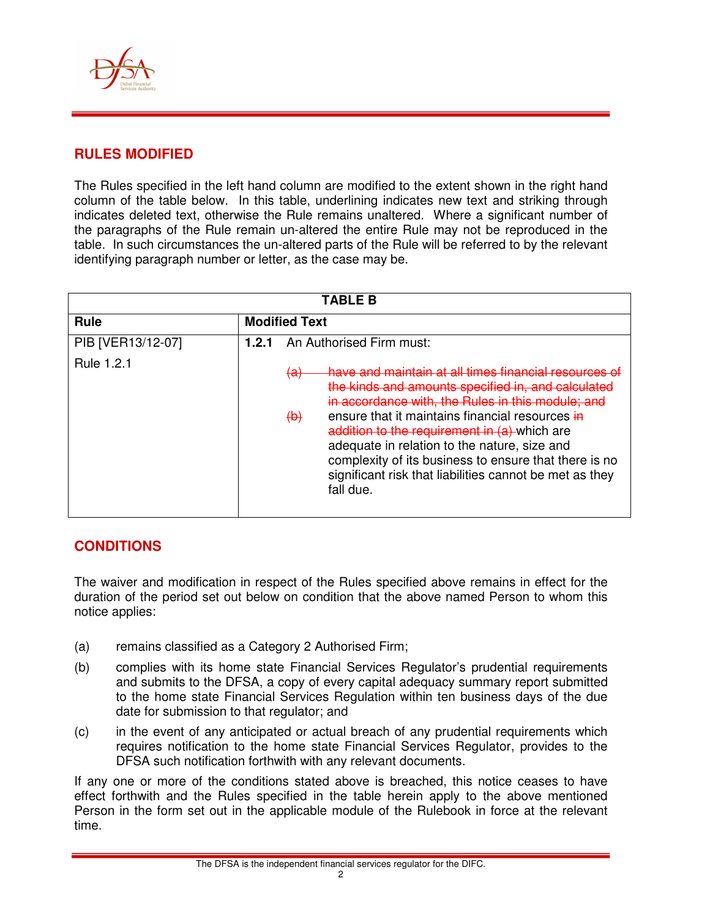

#### **RULES MODIFIED**

The Rules specified in the left hand column are modified to the extent shown in the right hand column of the table below. In this table, underlining indicates new text and striking through indicates deleted text, otherwise the Rule remains unaltered. Where a significant number of the paragraphs of the Rule remain un-altered the entire Rule may not be reproduced in the table. In such circumstances the un-altered parts of the Rule will be referred to by the relevant identifying paragraph number or letter, as the case may be.

| <b>TABLE B</b>                  |                                                                                                                                                                                                                                                                                                                                                                                                                                                                                                               |  |  |
|---------------------------------|---------------------------------------------------------------------------------------------------------------------------------------------------------------------------------------------------------------------------------------------------------------------------------------------------------------------------------------------------------------------------------------------------------------------------------------------------------------------------------------------------------------|--|--|
| Rule                            | <b>Modified Text</b>                                                                                                                                                                                                                                                                                                                                                                                                                                                                                          |  |  |
| PIB [VER13/12-07]<br>Rule 1.2.1 | An Authorised Firm must:<br>1.2.1<br>have and maintain at all times financial resources<br><del>(a)</del><br>the kinds and amounts specified in, and cal<br>in accordance with, the Rules in this module; and<br>ensure that it maintains financial resources in<br>$\Theta$<br>addition to the requirement in (a) which are<br>adequate in relation to the nature, size and<br>complexity of its business to ensure that there is no<br>significant risk that liabilities cannot be met as they<br>fall due. |  |  |
|                                 |                                                                                                                                                                                                                                                                                                                                                                                                                                                                                                               |  |  |

# **CONDITIONS**

The waiver and modification in respect of the Rules specified above remains in effect for the duration of the period set out below on condition that the above named Person to whom this notice applies:

- (a) remains classified as a Category 2 Authorised Firm;
- (b) complies with its home state Financial Services Regulator's prudential requirements and submits to the DFSA, a copy of every capital adequacy summary report submitted to the home state Financial Services Regulation within ten business days of the due date for submission to that regulator; and
- (c) in the event of any anticipated or actual breach of any prudential requirements which requires notification to the home state Financial Services Regulator, provides to the DFSA such notification forthwith with any relevant documents.

If any one or more of the conditions stated above is breached, this notice ceases to have effect forthwith and the Rules specified in the table herein apply to the above mentioned Person in the form set out in the applicable module of the Rulebook in force at the relevant time.